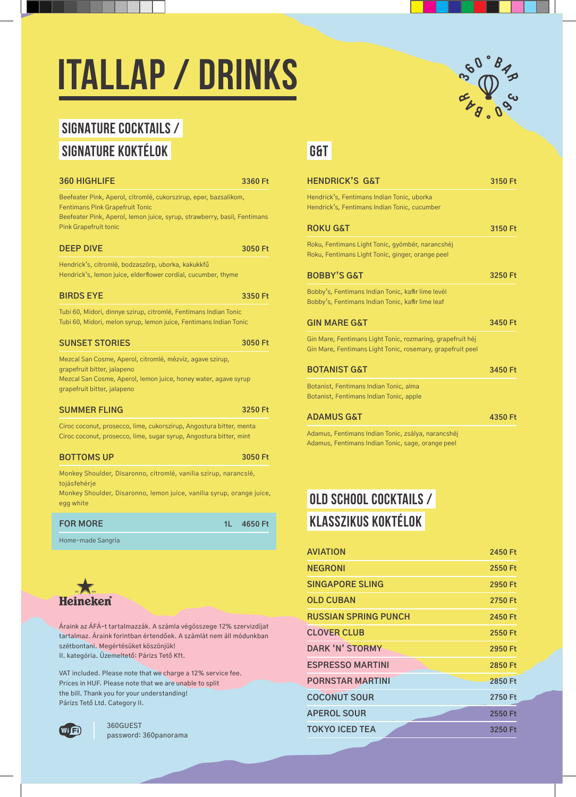# **ITALLAP / DRINKS**

## **SIGNATURE COCKTAILS / SIGNATURE KOKTÉLOK GAT LA GAT LA GAT LA GAT LA GAT LA GAT LA GAT LA GAT LA GAT LA GAT LA GAT LA GAT LA GAT LA**

| <b>360 HIGHLIFE</b>                                                                                                                                                                    | 3360 Ft       | <b>HENDRICK'S G&amp;T</b>                              |
|----------------------------------------------------------------------------------------------------------------------------------------------------------------------------------------|---------------|--------------------------------------------------------|
| Beefeater Pink, Aperol, citromlé, cukorszirup, eper, bazsalikom,<br><b>Fentimans Pink Grapefruit Tonic</b><br>Beefeater Pink, Aperol, lemon juice, syrup, strawberry, basil, Fentimans |               | Hendrick's, Fentimans In<br>Hendrick's, Fentimans In   |
| <b>Pink Grapefruit tonic</b>                                                                                                                                                           |               | <b>ROKU G&amp;T</b>                                    |
| <b>DEEP DIVE</b>                                                                                                                                                                       | 3050 Ft       | Roku, Fentimans Light To<br>Roku, Fentimans Light To   |
| Hendrick's, citromlé, bodzaszörp, uborka, kakukkfű<br>Hendrick's, lemon juice, elderflower cordial, cucumber, thyme                                                                    |               | <b>BOBBY'S G&amp;T</b>                                 |
| <b>BIRDS EYE</b>                                                                                                                                                                       | 3350 Ft       | Bobby's, Fentimans India<br>Bobby's, Fentimans India   |
| Tubi 60, Midori, dinnye szirup, citromlé, Fentimans Indian Tonic<br>Tubi 60, Midori, melon syrup, lemon juice, Fentimans Indian Tonic                                                  |               | <b>GIN MARE G&amp;T</b>                                |
| <b>SUNSET STORIES</b>                                                                                                                                                                  | 3050 Ft       | Gin Mare, Fentimans Ligl<br>Gin Mare, Fentimans Ligl   |
| Mezcal San Cosme, Aperol, citromlé, mézvíz, agave szirup,<br>grapefruit bitter, jalapeno                                                                                               |               | <b>BOTANIST G&amp;T</b>                                |
| Mezcal San Cosme, Aperol, lemon juice, honey water, agave syrup<br>grapefruit bitter, jalapeno                                                                                         |               | Botanist, Fentimans India<br>Botanist, Fentimans India |
| <b>SUMMER FLING</b>                                                                                                                                                                    | 3250 Ft       | <b>ADAMUS G&amp;T</b>                                  |
| Ciroc coconut, prosecco, lime, cukorszirup, Angostura bitter, menta<br>Ciroc coconut, prosecco, lime, sugar syrup, Angostura bitter, mint                                              |               | Adamus, Fentimans India<br>Adamus, Fentimans India     |
| <b>BOTTOMS UP</b>                                                                                                                                                                      | 3050 Ft       |                                                        |
| Monkey Shoulder, Disaronno, citromlé, vanilia szirup, narancslé,<br>tojásfehérje                                                                                                       |               |                                                        |
| Monkey Shoulder, Disaronno, lemon juice, vanilia syrup, orange juice,<br>egg white                                                                                                     |               | <b>OLD SCHOOL CO</b>                                   |
| <b>FOR MORE</b>                                                                                                                                                                        | 1L<br>4650 Ft | KLASSZIKUS K                                           |
| Home-made Sangria                                                                                                                                                                      |               |                                                        |



Áraink az ÁFÁ-t tartalmazzák. A számla végösszege 12% szervizdíjat tartalmaz. Áraink forintban értendőek. A számlát nem áll módunkban szétbontani. Megértésüket köszönjük! II. kategória. Üzemeltető: Párizs Tető Kft.

VAT included. Please note that we charge a 12% service fee. Prices in HUF. Please note that we are unable to split the bill. Thank you for your understanding! Párizs Tető Ltd. Category II.



password: 360panorama



| 3150 Ft |
|---------|
|         |
| 3150 Ft |
|         |
| 3250 Ft |
|         |
| 3450 Ft |
|         |
| 3450 Ft |
|         |
|         |
|         |

Adamus, Fentimans Indian Tonic, zsálya, narancshéj Adamus, Fentimans Indian Tonic, sage, orange peel

### **OLD SCHOOL COCKTAILS / KLASSZIKUS koktélOK**

|                                                                                                           | <b>AVIATION</b>             | 2450 Ft |
|-----------------------------------------------------------------------------------------------------------|-----------------------------|---------|
|                                                                                                           | <b>NEGRONI</b>              | 2550 Ft |
|                                                                                                           | <b>SINGAPORE SLING</b>      | 2950 Ft |
|                                                                                                           | <b>OLD CUBAN</b>            | 2750 Ft |
|                                                                                                           | <b>RUSSIAN SPRING PUNCH</b> | 2450 Ft |
| tartalmazzák. A számla végösszege 12% szervizdíjat<br>ik forintban értendőek. A számlát nem áll módunkban | <b>CLOVER CLUB</b>          | 2550 Ft |
| egértésüket köszönjük!<br>emeltető: Párizs Tető Kft.                                                      | <b>DARK 'N' STORMY</b>      | 2950 Ft |
|                                                                                                           | <b>ESPRESSO MARTINI</b>     | 2850 Ft |
| lease note that we charge a 12% service fee.<br>lease note that we are unable to split                    | <b>PORNSTAR MARTINI</b>     | 2850 Ft |
| ou for your understanding!<br>Category II.                                                                | <b>COCONUT SOUR</b>         | 2750 Ft |
|                                                                                                           | <b>APEROL SOUR</b>          | 2550 Ft |
| 360GUEST                                                                                                  | <b>TOKYO ICED TEA</b>       | 3250 Ft |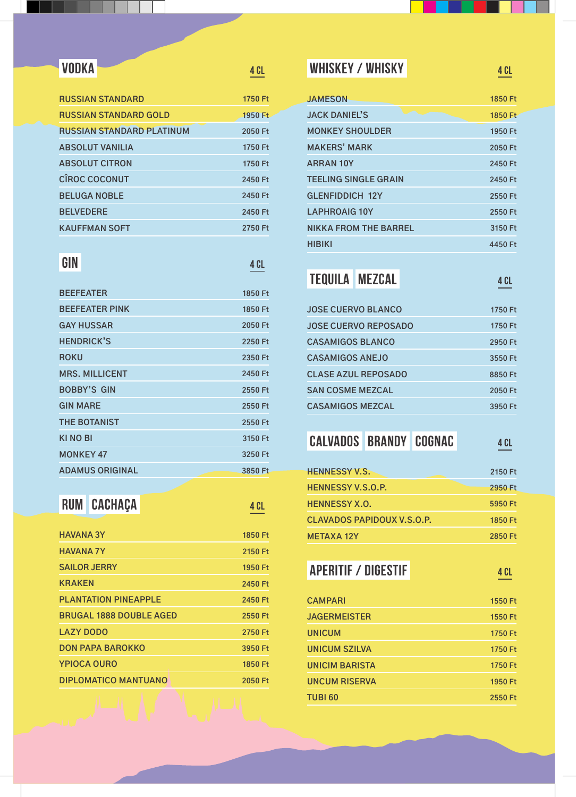I

| <b>RUSSIAN STANDARD</b>          | 1750 Ft |
|----------------------------------|---------|
| <b>RUSSIAN STANDARD GOLD</b>     | 1950 Ft |
| <b>RUSSIAN STANDARD PLATINUM</b> | 2050 Ft |
| <b>ABSOLUT VANILIA</b>           | 1750 Ft |
| <b>ABSOLUT CITRON</b>            | 1750 Ft |
| <b>CÎROC COCONUT</b>             | 2450 Ft |
| <b>BELUGA NOBLE</b>              | 2450 Ft |
| <b>BELVEDERE</b>                 | 2450 Ft |
| <b>KAUFFMAN SOFT</b>             | 2750 Ft |

### **GIN**

### **4 Cl**

**4 Cl**

| <b>BEEFEATER</b>       | 1850 Ft |
|------------------------|---------|
| <b>BEEFEATER PINK</b>  | 1850 Ft |
| <b>GAY HUSSAR</b>      | 2050 Ft |
| <b>HENDRICK'S</b>      | 2250 Ft |
| <b>ROKU</b>            | 2350 Ft |
| <b>MRS. MILLICENT</b>  | 2450 Ft |
| <b>BOBBY'S GIN</b>     | 2550 Ft |
| <b>GIN MARE</b>        | 2550 Ft |
| <b>THE BOTANIST</b>    | 2550 Ft |
| <b>KINO BI</b>         | 3150 Ft |
| <b>MONKEY 47</b>       | 3250 Ft |
| <b>ADAMUS ORIGINAL</b> | 3850 Ft |

### **RUM CACHAÇA**

| <b>HAVANA 3Y</b>               | 1850 Ft |
|--------------------------------|---------|
| <b>HAVANA 7Y</b>               | 2150 Ft |
| <b>SAILOR JERRY</b>            | 1950 Ft |
| <b>KRAKEN</b>                  | 2450 Ft |
| <b>PLANTATION PINEAPPLE</b>    | 2450 Ft |
| <b>BRUGAL 1888 DOUBLE AGED</b> | 2550 Ft |
| <b>LAZY DODO</b>               | 2750 Ft |
| <b>DON PAPA BAROKKO</b>        | 3950 Ft |
| <b>YPIOCA OURO</b>             | 1850 Ft |
| DIPLOMATICO MANTUANO           | 2050 Ft |

### **VODKA ARRANGEMENT <b>4 CL WHISKEY / WHISKY WHISKY 4 CL**

| <b>JAMESON</b>               | 1850 Ft |
|------------------------------|---------|
| <b>JACK DANIEL'S</b>         | 1850 Ft |
| <b>MONKEY SHOULDER</b>       | 1950 Ft |
| <b>MAKERS' MARK</b>          | 2050 Ft |
| <b>ARRAN 10Y</b>             | 2450 Ft |
| <b>TEELING SINGLE GRAIN</b>  | 2450 Ft |
| <b>GLENFIDDICH 12Y</b>       | 2550 Ft |
| <b>LAPHROAIG 10Y</b>         | 2550 Ft |
| <b>NIKKA FROM THE BARREL</b> | 3150 Ft |
| <b>HIBIKI</b>                | 4450 Ft |
|                              |         |

### **Tequila Mezcal 4 Cl**

| <b>JOSE CUERVO BLANCO</b>  | 1750 Ft |
|----------------------------|---------|
| JOSE CUERVO REPOSADO       | 1750 Ft |
| <b>CASAMIGOS BLANCO</b>    | 2950 Ft |
| <b>CASAMIGOS ANEJO</b>     | 3550 Ft |
| <b>CLASE AZUL REPOSADO</b> | 8850 Ft |
| <b>SAN COSME MEZCAL</b>    | 2050 Ft |
| <b>CASAMIGOS MEZCAL</b>    | 3950 Ft |

# **Calvados Brandy Cognac**

| <b>HENNESSY V.S.</b>       | 2150 Ft |
|----------------------------|---------|
| <b>HENNESSY V.S.O.P.</b>   | 2950 Ft |
| <b>HENNESSY X.O.</b>       | 5950 Ft |
| CLAVADOS PAPIDOUX V.S.O.P. | 1850 Ft |
| <b>METAXA 12Y</b>          | 2850 Ft |

### **Aperitif / Digestif**

| <b>CAMPARI</b>        | 1550 Ft |
|-----------------------|---------|
| <b>JAGERMEISTER</b>   | 1550 Ft |
| <b>UNICUM</b>         | 1750 Ft |
| <b>UNICUM SZILVA</b>  | 1750 Ft |
| <b>UNICIM BARISTA</b> | 1750 Ft |
| <b>UNCUM RISERVA</b>  | 1950 Ft |
| <b>TUBI 60</b>        | 2550 Ft |

**4 Cl**

**4 Cl**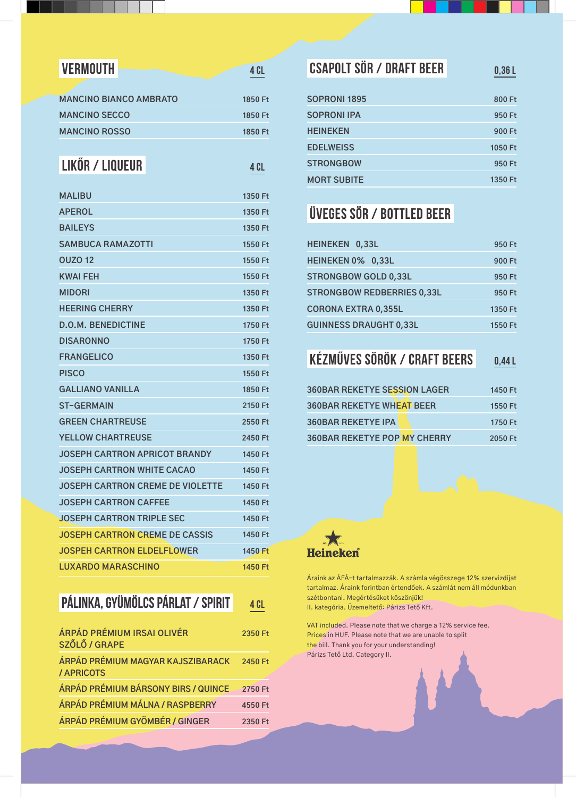| <b>VERMOUTH</b>                         | 4 CL    |
|-----------------------------------------|---------|
|                                         |         |
| <b>MANCINO BIANCO AMBRATO</b>           | 1850 Ft |
| <b>MANCINO SECCO</b>                    | 1850 Ft |
| <b>MANCINO ROSSO</b>                    | 1850 Ft |
|                                         |         |
| LIKŐR / LIQUEUR                         | 4 CL    |
| <b>MALIBU</b>                           | 1350 Ft |
| <b>APEROL</b>                           | 1350 Ft |
| <b>BAILEYS</b>                          | 1350 Ft |
| <b>SAMBUCA RAMAZOTTI</b>                | 1550 Ft |
| <b>OUZO 12</b>                          | 1550 Ft |
| <b>KWAI FEH</b>                         | 1550 Ft |
| <b>MIDORI</b>                           | 1350 Ft |
| <b>HEERING CHERRY</b>                   | 1350 Ft |
| <b>D.O.M. BENEDICTINE</b>               | 1750 Ft |
| <b>DISARONNO</b>                        | 1750 Ft |
| <b>FRANGELICO</b>                       | 1350 Ft |
| <b>PISCO</b>                            | 1550 Ft |
| <b>GALLIANO VANILLA</b>                 | 1850 Ft |
| <b>ST-GERMAIN</b>                       | 2150 Ft |
| <b>GREEN CHARTREUSE</b>                 | 2550 Ft |
| <b>YELLOW CHARTREUSE</b>                | 2450 Ft |
| <b>JOSEPH CARTRON APRICOT BRANDY</b>    | 1450 Ft |
| <b>JOSEPH CARTRON WHITE CACAO</b>       | 1450 Ft |
| <b>JOSEPH CARTRON CREME DE VIOLETTE</b> | 1450 Ft |
| <b>JOSEPH CARTRON CAFFEE</b>            | 1450 Ft |
| JOSEPH CARTRON TRIPLE SEC               | 1450 Ft |
| <b>JOSEPH CARTRON CREME DE CASSIS</b>   | 1450 Ft |
| <b>JOSPEH CARTRON ELDELFLOWER</b>       | 1450 Ft |
| <b>LUXARDO MARASCHINO</b>               | 1450 Ft |

### **Pálinka, gyümölcs párlat / spirit**

| ÁRPÁD PRÉMIUM IRSAI OLIVÉR<br>SZŐLŐ / GRAPE     | 2350 Ft |
|-------------------------------------------------|---------|
| ÁRPÁD PRÉMIUM MAGYAR KAJSZIBARACK<br>/ APRICOTS | 2450 Ft |
| ÁRPÁD PRÉMIUM BÁRSONY BIRS / QUINCE             | 2750 Ft |
| ÁRPÁD PRÉMIUM MÁLNA / RASPBERRY                 | 4550 Ft |
| ÁRPÁD PRÉMIUM GYÖMBÉR / GINGER                  | 2350 Ft |

| <b>CSAPOLT SÖR / DRAFT BEER</b> | 0,36L   |
|---------------------------------|---------|
| <b>SOPRONI 1895</b>             | 800 Ft  |
| <b>SOPRONI IPA</b>              | 950 Ft  |
| <b>HEINEKEN</b>                 | 900 Ft  |
| <b>EDELWEISS</b>                | 1050 Ft |
| <b>STRONGBOW</b>                | 950 Ft  |
| <b>MORT SUBITE</b>              | 1350 Ft |
|                                 |         |

## **Üveges Sör / Bottled Beer**

| HEINEKEN 0,33L                    | 950 Ft  |
|-----------------------------------|---------|
| HEINEKEN 0% 0,33L                 | 900 Ft  |
| <b>STRONGBOW GOLD 0.33L</b>       | 950 Ft  |
| <b>STRONGBOW REDBERRIES 0,33L</b> | 950 Ft  |
| <b>CORONA EXTRA 0,355L</b>        | 1350 Ft |
| <b>GUINNESS DRAUGHT 0,33L</b>     | 1550 Ft |

### **Kézműves Sörök / Craft Beers 0,44 l**

| <b>360BAR REKETYE SESSION LAGER</b> | 1450 Ft |
|-------------------------------------|---------|
| <b>360BAR REKETYE WHEAT BEER</b>    | 1550 Ft |
| <b>360BAR REKETYE IPA</b>           | 1750 Ft |
| <b>360BAR REKETYE POP MY CHERRY</b> | 2050 Ft |



**4 Cl**

Áraink az ÁFÁ-t tartalmazzák. A számla végösszege 12% szervizdíjat tartalmaz. Áraink forintban értendőek. A számlát nem áll módunkban szétbontani. Megértésüket köszönjük! II. kategória. Üzemeltető: Párizs Tető Kft.

VAT included. Please note that we charge a 12% service fee. Prices in HUF. Please note that we are unable to split the bill. Thank you for your understanding! Párizs Tető Ltd. Category II.